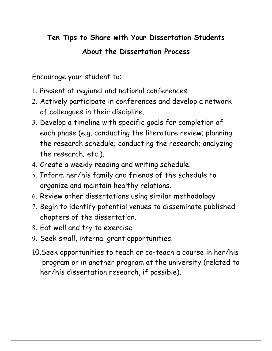## **Ten Tips to Share with Your Dissertation Students**

## **About the Dissertation Process**

Encourage your student to:

- 1. Present at regional and national conferences.
- 2. Actively participate in conferences and develop a network of colleagues in their discipline.
- 3. Develop a timeline with specific goals for completion of each phase (e.g. conducting the literature review; planning the research schedule; conducting the research; analyzing the research; etc.).
- 4. Create a weekly reading and writing schedule.
- 5. Inform her/his family and friends of the schedule to organize and maintain healthy relations.
- 6. Review other dissertations using similar methodology
- 7. Begin to identify potential venues to disseminate published chapters of the dissertation.
- 8. Eat well and try to exercise.
- 9. Seek small, internal grant opportunities.
- 10.Seek opportunities to teach or co-teach a course in her/his program or in another program at the university (related to her/his dissertation research, if possible).